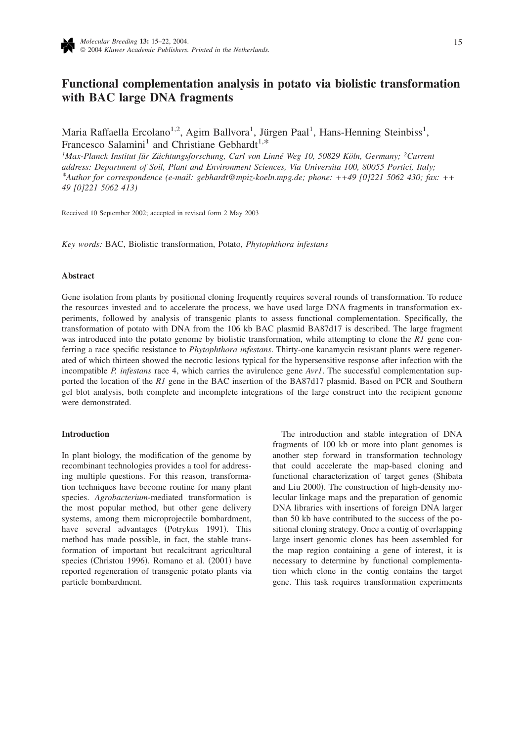

# **Functional complementation analysis in potato via biolistic transformation with BAC large DNA fragments**

Maria Raffaella Ercolano<sup>1,2</sup>, Agim Ballvora<sup>1</sup>, Jürgen Paal<sup>1</sup>, Hans-Henning Steinbiss<sup>1</sup>, Francesco Salamini<sup>1</sup> and Christiane Gebhardt<sup>1,\*</sup>

*1 Max-Planck Institut für Züchtungsforschung, Carl von Linné Weg 10, 50829 Köln, Germany; 2Current address: Department of Soil, Plant and Environment Sciences, Via Universita 100, 80055 Portici, Italy; \*Author for correspondence (e-mail: gebhardt@mpiz-koeln.mpg.de; phone: ++49 [0]221 5062 430; fax: ++ 49 [0]221 5062 413)*

Received 10 September 2002; accepted in revised form 2 May 2003

*Key words:* BAC, Biolistic transformation, Potato, *Phytophthora infestans*

### **Abstract**

Gene isolation from plants by positional cloning frequently requires several rounds of transformation. To reduce the resources invested and to accelerate the process, we have used large DNA fragments in transformation experiments, followed by analysis of transgenic plants to assess functional complementation. Specifically, the transformation of potato with DNA from the 106 kb BAC plasmid BA87d17 is described. The large fragment was introduced into the potato genome by biolistic transformation, while attempting to clone the *R1* gene conferring a race specific resistance to *Phytophthora infestans*. Thirty-one kanamycin resistant plants were regenerated of which thirteen showed the necrotic lesions typical for the hypersensitive response after infection with the incompatible *P. infestans* race 4, which carries the avirulence gene *Avr1*. The successful complementation supported the location of the *R1* gene in the BAC insertion of the BA87d17 plasmid. Based on PCR and Southern gel blot analysis, both complete and incomplete integrations of the large construct into the recipient genome were demonstrated.

### **Introduction**

In plant biology, the modification of the genome by recombinant technologies provides a tool for addressing multiple questions. For this reason, transformation techniques have become routine for many plant species. *Agrobacterium*-mediated transformation is the most popular method, but other gene delivery systems, among them microprojectile bombardment, have several advantages (Potrykus 1991). This method has made possible, in fact, the stable transformation of important but recalcitrant agricultural species (Christou 1996). Romano et al. (2001) have reported regeneration of transgenic potato plants via particle bombardment.

The introduction and stable integration of DNA fragments of 100 kb or more into plant genomes is another step forward in transformation technology that could accelerate the map-based cloning and functional characterization of target genes (Shibata and Liu 2000). The construction of high-density molecular linkage maps and the preparation of genomic DNA libraries with insertions of foreign DNA larger than 50 kb have contributed to the success of the positional cloning strategy. Once a contig of overlapping large insert genomic clones has been assembled for the map region containing a gene of interest, it is necessary to determine by functional complementation which clone in the contig contains the target gene. This task requires transformation experiments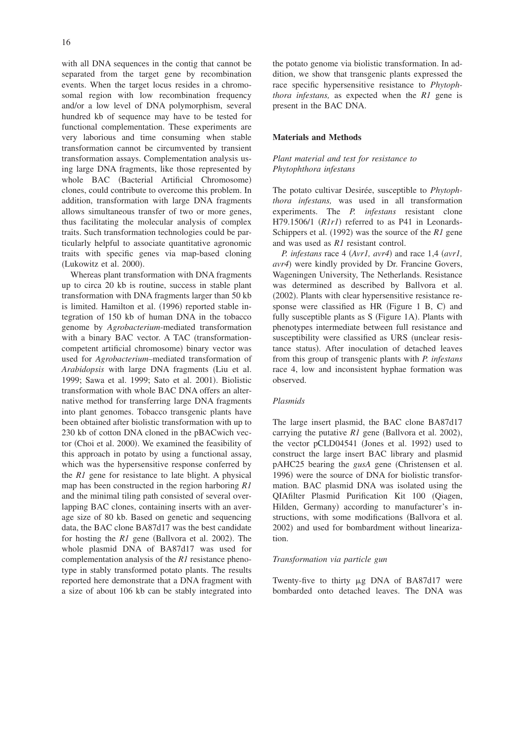with all DNA sequences in the contig that cannot be separated from the target gene by recombination events. When the target locus resides in a chromosomal region with low recombination frequency and/or a low level of DNA polymorphism, several hundred kb of sequence may have to be tested for functional complementation. These experiments are very laborious and time consuming when stable transformation cannot be circumvented by transient transformation assays. Complementation analysis using large DNA fragments, like those represented by whole BAC (Bacterial Artificial Chromosome) clones, could contribute to overcome this problem. In addition, transformation with large DNA fragments allows simultaneous transfer of two or more genes, thus facilitating the molecular analysis of complex traits. Such transformation technologies could be particularly helpful to associate quantitative agronomic traits with specific genes via map-based cloning (Lukowitz et al. 2000).

Whereas plant transformation with DNA fragments up to circa 20 kb is routine, success in stable plant transformation with DNA fragments larger than 50 kb is limited. Hamilton et al. (1996) reported stable integration of 150 kb of human DNA in the tobacco genome by *Agrobacterium*-mediated transformation with a binary BAC vector. A TAC (transformationcompetent artificial chromosome) binary vector was used for *Agrobacterium*–mediated transformation of *Arabidopsis* with large DNA fragments (Liu et al. 1999; Sawa et al. 1999; Sato et al. 2001). Biolistic transformation with whole BAC DNA offers an alternative method for transferring large DNA fragments into plant genomes. Tobacco transgenic plants have been obtained after biolistic transformation with up to 230 kb of cotton DNA cloned in the pBACwich vector (Choi et al. 2000). We examined the feasibility of this approach in potato by using a functional assay, which was the hypersensitive response conferred by the *R1* gene for resistance to late blight. A physical map has been constructed in the region harboring *R1* and the minimal tiling path consisted of several overlapping BAC clones, containing inserts with an average size of 80 kb. Based on genetic and sequencing data, the BAC clone BA87d17 was the best candidate for hosting the *R1* gene (Ballvora et al. 2002). The whole plasmid DNA of BA87d17 was used for complementation analysis of the *R1* resistance phenotype in stably transformed potato plants. The results reported here demonstrate that a DNA fragment with a size of about 106 kb can be stably integrated into

the potato genome via biolistic transformation. In addition, we show that transgenic plants expressed the race specific hypersensitive resistance to *Phytophthora infestans,* as expected when the *R1* gene is present in the BAC DNA.

#### **Materials and Methods**

# *Plant material and test for resistance to Phytophthora infestans*

The potato cultivar Desirée, susceptible to *Phytophthora infestans,* was used in all transformation experiments. The *P. infestans* resistant clone H79.1506/1 (R1r1) referred to as P41 in Leonards-Schippers et al. (1992) was the source of the *R1* gene and was used as *R1* resistant control.

*P. infestans* race 4 *(Avr1, avr4)* and race 1,4 *(avr1,* avr4) were kindly provided by Dr. Francine Govers, Wageningen University, The Netherlands. Resistance was determined as described by Ballvora et al. (2002). Plants with clear hypersensitive resistance response were classified as  $HR$  (Figure 1 B, C) and fully susceptible plants as  $S$  (Figure 1A). Plants with phenotypes intermediate between full resistance and susceptibility were classified as URS (unclear resistance status). After inoculation of detached leaves from this group of transgenic plants with *P. infestans* race 4, low and inconsistent hyphae formation was observed.

# *Plasmids*

The large insert plasmid, the BAC clone BA87d17 carrying the putative  $R1$  gene (Ballvora et al. 2002), the vector pCLD04541 (Jones et al. 1992) used to construct the large insert BAC library and plasmid pAHC25 bearing the *gusA* gene Christensen et al. 1996) were the source of DNA for biolistic transformation. BAC plasmid DNA was isolated using the QIAfilter Plasmid Purification Kit 100 Qiagen, Hilden, Germany) according to manufacturer's instructions, with some modifications (Ballvora et al. 2002) and used for bombardment without linearization.

### *Transformation via particle gun*

Twenty-five to thirty  $\mu$ g DNA of BA87d17 were bombarded onto detached leaves. The DNA was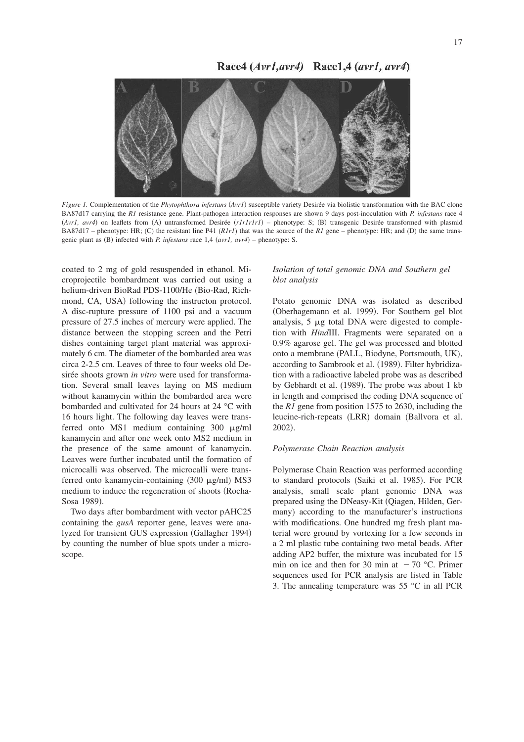# Race4 (Avr1, avr4) Race1,4 (avr1, avr4)



Figure 1. Complementation of the *Phytophthora infestans* (Avr1) susceptible variety Desirée via biolistic transformation with the BAC clone BA87d17 carrying the *R1* resistance gene. Plant-pathogen interaction responses are shown 9 days post-inoculation with *P. infestans* race 4 (Avr1, avr4) on leaflets from (A) untransformed Desirée (r1r1r1r1) – phenotype: S; (B) transgenic Desirée transformed with plasmid BA87d17 – phenotype: HR; (C) the resistant line P41  $(RIrI)$  that was the source of the *R1* gene – phenotype: HR; and (D) the same transgenic plant as (B) infected with *P. infestans* race 1,4 *(avr1, avr4)* – phenotype: S.

coated to 2 mg of gold resuspended in ethanol. Microprojectile bombardment was carried out using a helium-driven BioRad PDS-1100/He (Bio-Rad, Richmond, CA, USA) following the instructon protocol. A disc-rupture pressure of 1100 psi and a vacuum pressure of 27.5 inches of mercury were applied. The distance between the stopping screen and the Petri dishes containing target plant material was approximately 6 cm. The diameter of the bombarded area was circa 2-2.5 cm. Leaves of three to four weeks old Desirée shoots grown *in vitro* were used for transformation. Several small leaves laying on MS medium without kanamycin within the bombarded area were bombarded and cultivated for 24 hours at 24 °C with 16 hours light. The following day leaves were transferred onto MS1 medium containing  $300 \mu g/ml$ kanamycin and after one week onto MS2 medium in the presence of the same amount of kanamycin. Leaves were further incubated until the formation of microcalli was observed. The microcalli were transferred onto kanamycin-containing (300 µg/ml) MS3 medium to induce the regeneration of shoots (Rocha-Sosa 1989).

Two days after bombardment with vector pAHC25 containing the *gusA* reporter gene, leaves were analyzed for transient GUS expression (Gallagher 1994) by counting the number of blue spots under a microscope.

# *Isolation of total genomic DNA and Southern gel blot analysis*

Potato genomic DNA was isolated as described (Oberhagemann et al. 1999). For Southern gel blot analysis,  $5 \mu g$  total DNA were digested to completion with *Hind*III. Fragments were separated on a 0.9% agarose gel. The gel was processed and blotted onto a membrane (PALL, Biodyne, Portsmouth, UK), according to Sambrook et al. (1989). Filter hybridization with a radioactive labeled probe was as described by Gebhardt et al. (1989). The probe was about 1 kb in length and comprised the coding DNA sequence of the *R1* gene from position 1575 to 2630, including the leucine-rich-repeats (LRR) domain (Ballvora et al. 2002).

# *Polymerase Chain Reaction analysis*

Polymerase Chain Reaction was performed according to standard protocols (Saiki et al. 1985). For PCR analysis, small scale plant genomic DNA was prepared using the DNeasy-Kit Qiagen, Hilden, Germany) according to the manufacturer's instructions with modifications. One hundred mg fresh plant material were ground by vortexing for a few seconds in a 2 ml plastic tube containing two metal beads. After adding AP2 buffer, the mixture was incubated for 15 min on ice and then for 30 min at  $-70$  °C. Primer sequences used for PCR analysis are listed in Table 3. The annealing temperature was 55 °C in all PCR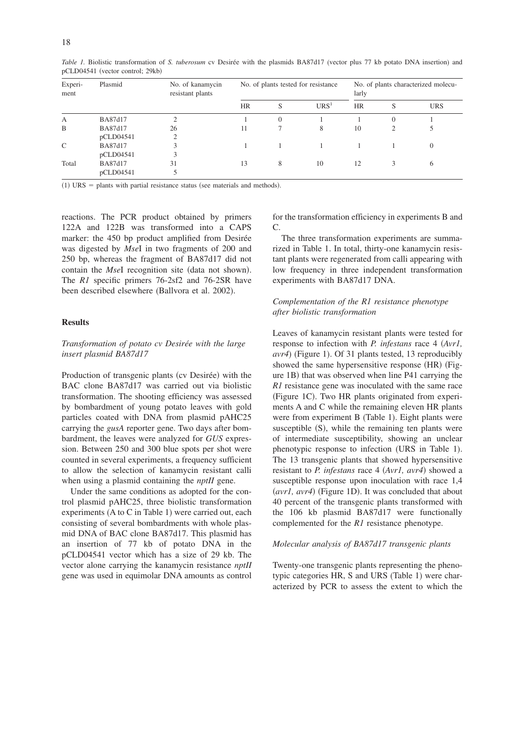| Experi-<br>ment | Plasmid   | No. of kanamycin<br>resistant plants | No. of plants tested for resistance |          |                  | No. of plants characterized molecu-<br>larly |                |            |
|-----------------|-----------|--------------------------------------|-------------------------------------|----------|------------------|----------------------------------------------|----------------|------------|
|                 |           |                                      | <b>HR</b>                           | S        | URS <sup>1</sup> | <b>HR</b>                                    | S              | <b>URS</b> |
| А               | BA87d17   |                                      |                                     | $\Omega$ |                  |                                              | $\overline{0}$ |            |
| B               | BA87d17   | 26                                   | 11                                  |          | 8                | 10                                           | 2              |            |
|                 | pCLD04541 |                                      |                                     |          |                  |                                              |                |            |
| C               | BA87d17   |                                      |                                     |          |                  |                                              |                | $\Omega$   |
|                 | pCLD04541 |                                      |                                     |          |                  |                                              |                |            |
| Total           | BA87d17   | 31                                   | 13                                  | 8        | 10               | 12                                           |                | O          |
|                 | pCLD04541 |                                      |                                     |          |                  |                                              |                |            |

Table 1. Biolistic transformation of *S. tuberosum* cv Desirée with the plasmids BA87d17 (vector plus 77 kb potato DNA insertion) and pCLD04541 (vector control; 29kb)

 $(1)$  URS = plants with partial resistance status (see materials and methods).

reactions. The PCR product obtained by primers 122A and 122B was transformed into a CAPS marker: the 450 bp product amplified from Desirée was digested by *Mse*I in two fragments of 200 and 250 bp, whereas the fragment of BA87d17 did not contain the *MseI* recognition site (data not shown). The *R1* specific primers 76-2sf2 and 76-2SR have been described elsewhere (Ballvora et al. 2002).

### **Results**

# *Transformation of potato cv Desirée with the large insert plasmid BA87d17*

Production of transgenic plants (cv Desirée) with the BAC clone BA87d17 was carried out via biolistic transformation. The shooting efficiency was assessed by bombardment of young potato leaves with gold particles coated with DNA from plasmid pAHC25 carrying the *gusA* reporter gene. Two days after bombardment, the leaves were analyzed for *GUS* expression. Between 250 and 300 blue spots per shot were counted in several experiments, a frequency sufficient to allow the selection of kanamycin resistant calli when using a plasmid containing the *nptII* gene.

Under the same conditions as adopted for the control plasmid pAHC25, three biolistic transformation experiments (A to C in Table 1) were carried out, each consisting of several bombardments with whole plasmid DNA of BAC clone BA87d17. This plasmid has an insertion of 77 kb of potato DNA in the pCLD04541 vector which has a size of 29 kb. The vector alone carrying the kanamycin resistance *nptII* gene was used in equimolar DNA amounts as control

for the transformation efficiency in experiments B and  $\mathcal{C}$ 

The three transformation experiments are summarized in Table 1. In total, thirty-one kanamycin resistant plants were regenerated from calli appearing with low frequency in three independent transformation experiments with BA87d17 DNA.

# *Complementation of the R1 resistance phenotype after biolistic transformation*

Leaves of kanamycin resistant plants were tested for response to infection with *P. infestans* race 4 *Avr1,* avr4) (Figure 1). Of 31 plants tested, 13 reproducibly showed the same hypersensitive response (HR) (Figure 1B) that was observed when line P41 carrying the *R1* resistance gene was inoculated with the same race (Figure 1C). Two HR plants originated from experiments A and C while the remaining eleven HR plants were from experiment B (Table 1). Eight plants were susceptible  $(S)$ , while the remaining ten plants were of intermediate susceptibility, showing an unclear phenotypic response to infection (URS in Table 1). The 13 transgenic plants that showed hypersensitive resistant to *P. infestans* race 4 (Avr1, avr4) showed a susceptible response upon inoculation with race 1,4 (avr1, avr4) (Figure 1D). It was concluded that about 40 percent of the transgenic plants transformed with the 106 kb plasmid BA87d17 were functionally complemented for the *R1* resistance phenotype.

### *Molecular analysis of BA87d17 transgenic plants*

Twenty-one transgenic plants representing the phenotypic categories HR, S and URS (Table 1) were characterized by PCR to assess the extent to which the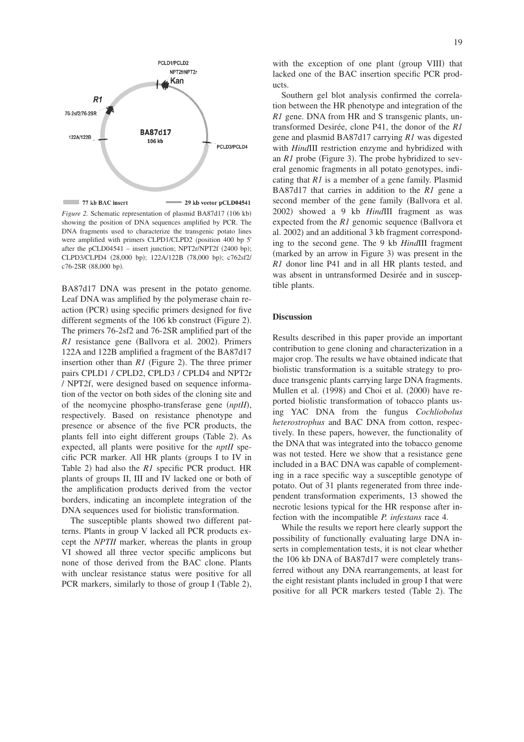

*Figure 2.* Schematic representation of plasmid BA87d17 (106 kb) showing the position of DNA sequences amplified by PCR. The DNA fragments used to characterize the transgenic potato lines were amplified with primers CLPD1/CLPD2 (position 400 bp 5' after the pCLD04541 – insert junction; NPT2r/NPT2f (2400 bp); CLPD3/CLPD4 (28,000 bp); 122A/122B (78,000 bp); c762sf2/ c76-2SR (88,000 bp).

BA87d17 DNA was present in the potato genome. Leaf DNA was amplified by the polymerase chain reaction (PCR) using specific primers designed for five different segments of the 106 kb construct (Figure 2). The primers 76-2sf2 and 76-2SR amplified part of the R1 resistance gene (Ballvora et al. 2002). Primers 122A and 122B amplified a fragment of the BA87d17 insertion other than  $RI$  (Figure 2). The three primer pairs CPLD1 / CPLD2, CPLD3 / CPLD4 and NPT2r / NPT2f, were designed based on sequence information of the vector on both sides of the cloning site and of the neomycine phospho-transferase gene (nptII), respectively. Based on resistance phenotype and presence or absence of the five PCR products, the plants fell into eight different groups (Table 2). As expected, all plants were positive for the *nptII* specific PCR marker. All HR plants (groups I to IV in Table 2) had also the *R1* specific PCR product. HR plants of groups II, III and IV lacked one or both of the amplification products derived from the vector borders, indicating an incomplete integration of the DNA sequences used for biolistic transformation.

The susceptible plants showed two different patterns. Plants in group V lacked all PCR products except the *NPTII* marker, whereas the plants in group VI showed all three vector specific amplicons but none of those derived from the BAC clone. Plants with unclear resistance status were positive for all PCR markers, similarly to those of group I (Table 2),

with the exception of one plant (group VIII) that lacked one of the BAC insertion specific PCR products.

Southern gel blot analysis confirmed the correlation between the HR phenotype and integration of the *R1* gene. DNA from HR and S transgenic plants, untransformed Desirée, clone P41, the donor of the *R1* gene and plasmid BA87d17 carrying *R1* was digested with *Hind*III restriction enzyme and hybridized with an  $R1$  probe (Figure 3). The probe hybridized to several genomic fragments in all potato genotypes, indicating that *R1* is a member of a gene family. Plasmid BA87d17 that carries in addition to the *R1* gene a second member of the gene family (Ballvora et al. 2002) showed a 9 kb *HindIII* fragment as was expected from the *R1* genomic sequence (Ballvora et al. 2002) and an additional 3 kb fragment corresponding to the second gene. The 9 kb *Hind*III fragment (marked by an arrow in Figure 3) was present in the *R1* donor line P41 and in all HR plants tested, and was absent in untransformed Desirée and in susceptible plants.

### **Discussion**

Results described in this paper provide an important contribution to gene cloning and characterization in a major crop. The results we have obtained indicate that biolistic transformation is a suitable strategy to produce transgenic plants carrying large DNA fragments. Mullen et al. (1998) and Choi et al. (2000) have reported biolistic transformation of tobacco plants using YAC DNA from the fungus *Cochliobolus heterostrophus* and BAC DNA from cotton, respectively. In these papers, however, the functionality of the DNA that was integrated into the tobacco genome was not tested. Here we show that a resistance gene included in a BAC DNA was capable of complementing in a race specific way a susceptible genotype of potato. Out of 31 plants regenerated from three independent transformation experiments, 13 showed the necrotic lesions typical for the HR response after infection with the incompatible *P. infestans* race 4.

While the results we report here clearly support the possibility of functionally evaluating large DNA inserts in complementation tests, it is not clear whether the 106 kb DNA of BA87d17 were completely transferred without any DNA rearrangements, at least for the eight resistant plants included in group I that were positive for all PCR markers tested (Table 2). The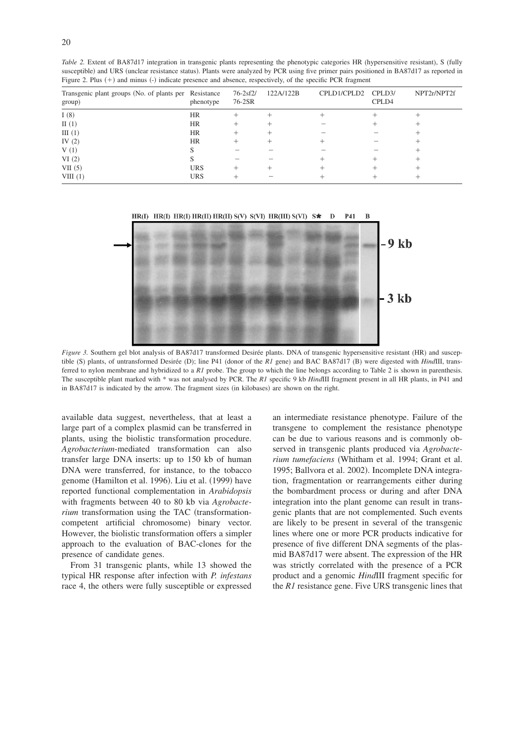| Transgenic plant groups (No. of plants per Resistance<br>group) | phenotype  | $76 - 2sf2$<br>76-2SR | 122A/122B | CPLD1/CPLD2 | CPLD3/<br>CPLD4 | NPT2r/NPT2f |
|-----------------------------------------------------------------|------------|-----------------------|-----------|-------------|-----------------|-------------|
| I(8)                                                            | <b>HR</b>  | +                     |           |             |                 |             |
| $\Pi(1)$                                                        | HR         |                       |           |             |                 |             |
| III(1)                                                          | <b>HR</b>  |                       |           |             |                 |             |
| IV $(2)$                                                        | <b>HR</b>  |                       |           |             |                 |             |
| V(1)                                                            |            |                       |           |             |                 |             |
| VI(2)                                                           |            |                       |           |             |                 |             |
| VII(5)                                                          | <b>URS</b> |                       |           |             |                 |             |
| VIII(1)                                                         | <b>URS</b> |                       |           |             |                 |             |

Table 2. Extent of BA87d17 integration in transgenic plants representing the phenotypic categories HR (hypersensitive resistant), S (fully susceptible) and URS (unclear resistance status). Plants were analyzed by PCR using five primer pairs positioned in BA87d17 as reported in Figure 2. Plus (+) and minus (-) indicate presence and absence, respectively, of the specific PCR fragment



Figure 3. Southern gel blot analysis of BA87d17 transformed Desirée plants. DNA of transgenic hypersensitive resistant (HR) and susceptible (S) plants, of untransformed Desirée (D); line P41 (donor of the *R1* gene) and BAC BA87d17 (B) were digested with *HindIII*, transferred to nylon membrane and hybridized to a *R1* probe. The group to which the line belongs according to Table 2 is shown in parenthesis. The susceptible plant marked with \* was not analysed by PCR. The *R1* specific 9 kb *Hind*III fragment present in all HR plants, in P41 and in BA87d17 is indicated by the arrow. The fragment sizes (in kilobases) are shown on the right.

available data suggest, nevertheless, that at least a large part of a complex plasmid can be transferred in plants, using the biolistic transformation procedure. *Agrobacterium*-mediated transformation can also transfer large DNA inserts: up to 150 kb of human DNA were transferred, for instance, to the tobacco genome (Hamilton et al. 1996). Liu et al. (1999) have reported functional complementation in *Arabidopsis* with fragments between 40 to 80 kb via *Agrobacterium* transformation using the TAC (transformationcompetent artificial chromosome) binary vector. However, the biolistic transformation offers a simpler approach to the evaluation of BAC-clones for the presence of candidate genes.

From 31 transgenic plants, while 13 showed the typical HR response after infection with *P. infestans* race 4, the others were fully susceptible or expressed an intermediate resistance phenotype. Failure of the transgene to complement the resistance phenotype can be due to various reasons and is commonly observed in transgenic plants produced via *Agrobacterium tumefaciens* Whitham et al. 1994; Grant et al. 1995; Ballvora et al. 2002). Incomplete DNA integration, fragmentation or rearrangements either during the bombardment process or during and after DNA integration into the plant genome can result in transgenic plants that are not complemented. Such events are likely to be present in several of the transgenic lines where one or more PCR products indicative for presence of five different DNA segments of the plasmid BA87d17 were absent. The expression of the HR was strictly correlated with the presence of a PCR product and a genomic *Hind*III fragment specific for the *R1* resistance gene. Five URS transgenic lines that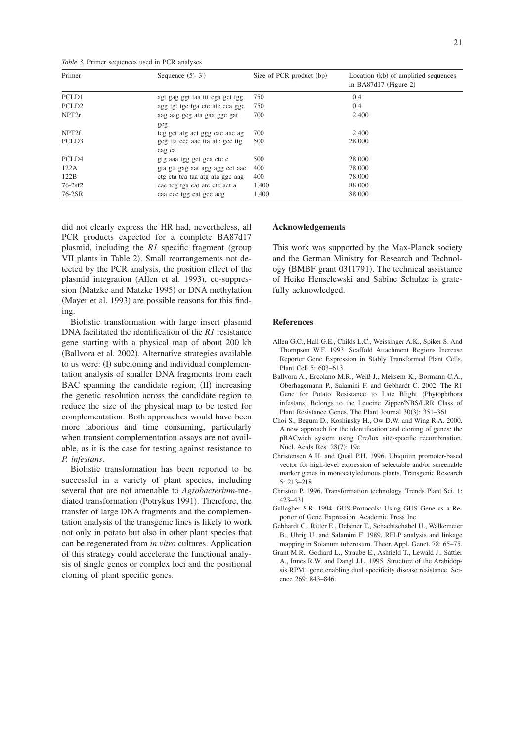*Table 3.* Primer sequences used in PCR analyses

| Primer            | Sequence $(5'-3')$                        | Size of PCR product (bp) | Location (kb) of amplified sequences<br>in BA87d17 (Figure 2) |
|-------------------|-------------------------------------------|--------------------------|---------------------------------------------------------------|
| PCLD1             | agt gag ggt taa tit cga gct tgg           | 750                      | 0.4                                                           |
| PCLD <sub>2</sub> | agg tgt tgc tga ctc atc cca ggc           | 750                      | 0.4                                                           |
| NPT2r             | aag aag gog ata gaa ggo gat<br>gcg        | 700                      | 2.400                                                         |
| NPT <sub>2f</sub> | teg get atg act ggg cae aac ag            | 700                      | 2.400                                                         |
| PCLD3             | geg tta ecc aac tta ate gee ttg<br>cag ca | 500                      | 28,000                                                        |
| PCLD4             | gtg aaa tgg get gea ete e                 | 500                      | 28,000                                                        |
| 122A              | gta gtt gag aat agg agg cct aac           | 400                      | 78,000                                                        |
| 122B              | ctg cta tca taa atg ata ggc aag           | 400                      | 78,000                                                        |
| $76 - 2sf2$       | cac teg tga cat ate etc act a             | 1,400                    | 88,000                                                        |
| 76-2SR            | caa ccc tgg cat gcc acg                   | 1,400                    | 88,000                                                        |

did not clearly express the HR had, nevertheless, all PCR products expected for a complete BA87d17 plasmid, including the *R1* specific fragment (group VII plants in Table 2). Small rearrangements not detected by the PCR analysis, the position effect of the plasmid integration (Allen et al. 1993), co-suppression (Matzke and Matzke 1995) or DNA methylation (Mayer et al. 1993) are possible reasons for this finding.

Biolistic transformation with large insert plasmid DNA facilitated the identification of the *R1* resistance gene starting with a physical map of about 200 kb (Ballvora et al. 2002). Alternative strategies available to us were: (I) subcloning and individual complementation analysis of smaller DNA fragments from each BAC spanning the candidate region; (II) increasing the genetic resolution across the candidate region to reduce the size of the physical map to be tested for complementation. Both approaches would have been more laborious and time consuming, particularly when transient complementation assays are not available, as it is the case for testing against resistance to *P. infestans*.

Biolistic transformation has been reported to be successful in a variety of plant species, including several that are not amenable to *Agrobacterium*-mediated transformation (Potrykus 1991). Therefore, the transfer of large DNA fragments and the complementation analysis of the transgenic lines is likely to work not only in potato but also in other plant species that can be regenerated from *in vitro* cultures. Application of this strategy could accelerate the functional analysis of single genes or complex loci and the positional cloning of plant specific genes.

### **Acknowledgements**

This work was supported by the Max-Planck society and the German Ministry for Research and Technology (BMBF grant 0311791). The technical assistance of Heike Henselewski and Sabine Schulze is gratefully acknowledged.

### **References**

- Allen G.C., Hall G.E., Childs L.C., Weissinger A.K., Spiker S. And Thompson W.F. 1993. Scaffold Attachment Regions Increase Reporter Gene Expression in Stably Transformed Plant Cells. Plant Cell 5: 603–613.
- Ballvora A., Ercolano M.R., Weiß J., Meksem K., Bormann C.A., Oberhagemann P., Salamini F. and Gebhardt C. 2002. The R1 Gene for Potato Resistance to Late Blight (Phytophthora infestans) Belongs to the Leucine Zipper/NBS/LRR Class of Plant Resistance Genes. The Plant Journal 30(3): 351-361
- Choi S., Begum D., Koshinsky H., Ow D.W. and Wing R.A. 2000. A new approach for the identification and cloning of genes: the pBACwich system using Cre/lox site-specific recombination. Nucl. Acids Res. 28(7): 19e
- Christensen A.H. and Quail P.H. 1996. Ubiquitin promoter-based vector for high-level expression of selectable and/or screenable marker genes in monocatyledonous plants. Transgenic Research 5: 213–218
- Christou P. 1996. Transformation technology. Trends Plant Sci. 1: 423–431
- Gallagher S.R. 1994. GUS-Protocols: Using GUS Gene as a Reporter of Gene Expression. Academic Press Inc.
- Gebhardt C., Ritter E., Debener T., Schachtschabel U., Walkemeier B., Uhrig U. and Salamini F. 1989. RFLP analysis and linkage mapping in Solanum tuberosum. Theor. Appl. Genet. 78: 65–75.
- Grant M.R., Godiard L., Straube E., Ashfield T., Lewald J., Sattler A., Innes R.W. and Dangl J.L. 1995. Structure of the Arabidopsis RPM1 gene enabling dual specificity disease resistance. Science 269: 843–846.